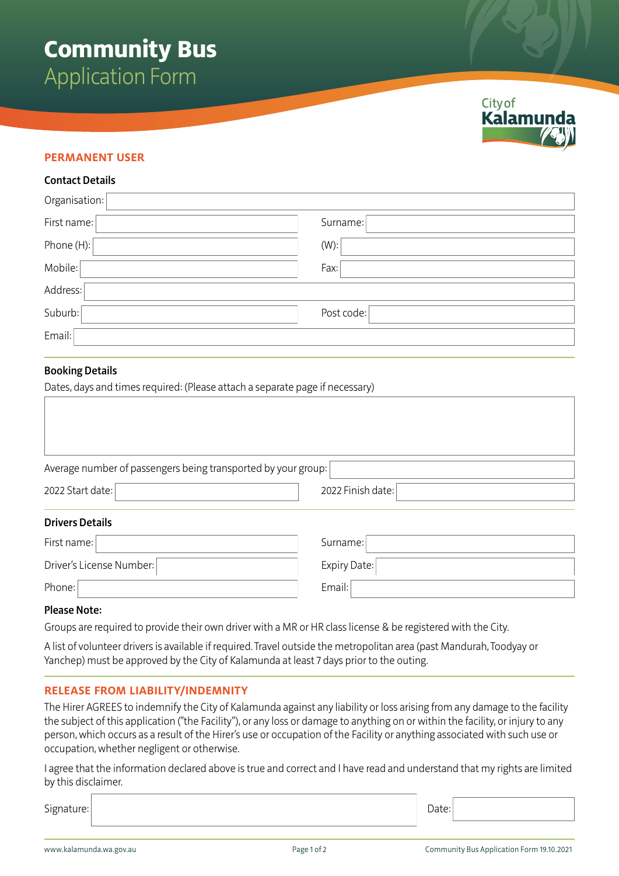# **Community Bus**  Application Form

### **PERMANENT USER**

#### Contact Details

| Organisation:      |            |
|--------------------|------------|
| First name:        | Surname:   |
| Phone (H): $\vert$ | $(W)$ :    |
| Mobile:            | Fax:       |
| Address:           |            |
| Suburb:            | Post code: |
| Email:             |            |

### Booking Details

| Dates, days and times required: (Please attach a separate page if necessary) |                   |
|------------------------------------------------------------------------------|-------------------|
|                                                                              |                   |
| Average number of passengers being transported by your group:                |                   |
| 2022 Start date:                                                             | 2022 Finish date: |
| <b>Drivers Details</b>                                                       |                   |
| First name:                                                                  | Surname:          |
| Driver's License Number:                                                     | Expiry Date:      |
| Phone:                                                                       | Email:            |

#### Please Note:

Groups are required to provide their own driver with a MR or HR class license & be registered with the City.

A list of volunteer drivers is available if required. Travel outside the metropolitan area (past Mandurah, Toodyay or Yanchep) must be approved by the City of Kalamunda at least 7 days prior to the outing.

## **RELEASE FROM LIABILITY/INDEMNITY**

The Hirer AGREES to indemnify the City of Kalamunda against any liability or loss arising from any damage to the facility the subject of this application ("the Facility"), or any loss or damage to anything on or within the facility, or injury to any person, which occurs as a result of the Hirer's use or occupation of the Facility or anything associated with such use or occupation, whether negligent or otherwise.

I agree that the information declared above is true and correct and I have read and understand that my rights are limited by this disclaimer.

Signature: Date: Date: Date: Date: Date: Date: Date: Date: Date: Date: Date: Date: Date: Date: Date: Date: Date: Date: Date: Date: Date: Date: Date: Date: Date: Date: Date: Date: Date: Date: Date: Date: Date: Date: Date: D